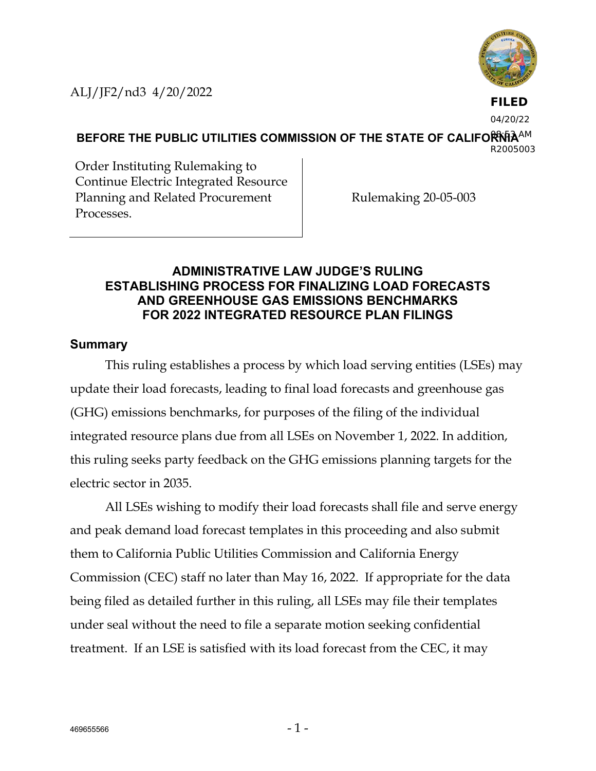ALJ/JF2/nd3 4/20/2022



**FILED**

04/20/22

BEFORE THE PUBLIC UTILITIES COMMISSION OF THE STATE OF CALIFORNIA<sup>AM</sup> R2005003

Order Instituting Rulemaking to Continue Electric Integrated Resource Planning and Related Procurement Processes.

Rulemaking 20-05-003

## **ADMINISTRATIVE LAW JUDGE'S RULING ESTABLISHING PROCESS FOR FINALIZING LOAD FORECASTS AND GREENHOUSE GAS EMISSIONS BENCHMARKS FOR 2022 INTEGRATED RESOURCE PLAN FILINGS**

## **Summary**

This ruling establishes a process by which load serving entities (LSEs) may update their load forecasts, leading to final load forecasts and greenhouse gas (GHG) emissions benchmarks, for purposes of the filing of the individual integrated resource plans due from all LSEs on November 1, 2022. In addition, this ruling seeks party feedback on the GHG emissions planning targets for the electric sector in 2035.

All LSEs wishing to modify their load forecasts shall file and serve energy and peak demand load forecast templates in this proceeding and also submit them to California Public Utilities Commission and California Energy Commission (CEC) staff no later than May 16, 2022. If appropriate for the data being filed as detailed further in this ruling, all LSEs may file their templates under seal without the need to file a separate motion seeking confidential treatment. If an LSE is satisfied with its load forecast from the CEC, it may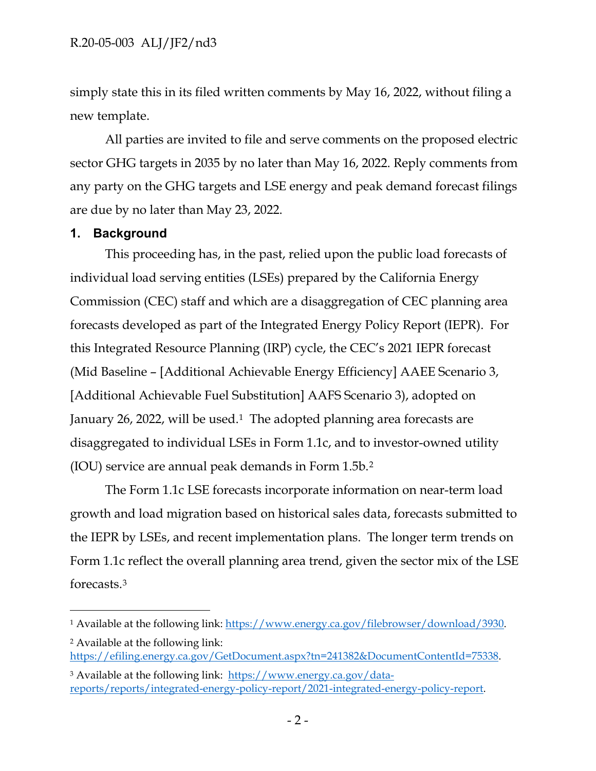simply state this in its filed written comments by May 16, 2022, without filing a new template.

All parties are invited to file and serve comments on the proposed electric sector GHG targets in 2035 by no later than May 16, 2022. Reply comments from any party on the GHG targets and LSE energy and peak demand forecast filings are due by no later than May 23, 2022.

## **1. Background**

This proceeding has, in the past, relied upon the public load forecasts of individual load serving entities (LSEs) prepared by the California Energy Commission (CEC) staff and which are a disaggregation of CEC planning area forecasts developed as part of the Integrated Energy Policy Report (IEPR). For this Integrated Resource Planning (IRP) cycle, the CEC's 2021 IEPR forecast (Mid Baseline – [Additional Achievable Energy Efficiency] AAEE Scenario 3, [Additional Achievable Fuel Substitution] AAFS Scenario 3), adopted on January 26, 2022, will be used.<sup>1</sup> The adopted planning area forecasts are disaggregated to individual LSEs in Form 1.1c, and to investor-owned utility (IOU) service are annual peak demands in Form 1.5b.[2](#page-1-1) 

The Form 1.1c LSE forecasts incorporate information on near-term load growth and load migration based on historical sales data, forecasts submitted to the IEPR by LSEs, and recent implementation plans. The longer term trends on Form 1.1c reflect the overall planning area trend, given the sector mix of the LSE forecasts.[3](#page-1-2)

<span id="page-1-0"></span><sup>1</sup> Available at the following link[: https://www.energy.ca.gov/filebrowser/download/3930.](https://www.energy.ca.gov/filebrowser/download/3930)

<span id="page-1-1"></span><sup>2</sup> Available at the following link: [https://efiling.energy.ca.gov/GetDocument.aspx?tn=241382&DocumentContentId=75338.](https://efiling.energy.ca.gov/GetDocument.aspx?tn=241382&DocumentContentId=75338)

<span id="page-1-2"></span><sup>&</sup>lt;sup>3</sup> Available at the following link: [https://www.energy.ca.gov/data](https://www.energy.ca.gov/data-reports/reports/integrated-energy-policy-report/2021-integrated-energy-policy-report)[reports/reports/integrated-energy-policy-report/2021-integrated-energy-policy-report.](https://www.energy.ca.gov/data-reports/reports/integrated-energy-policy-report/2021-integrated-energy-policy-report)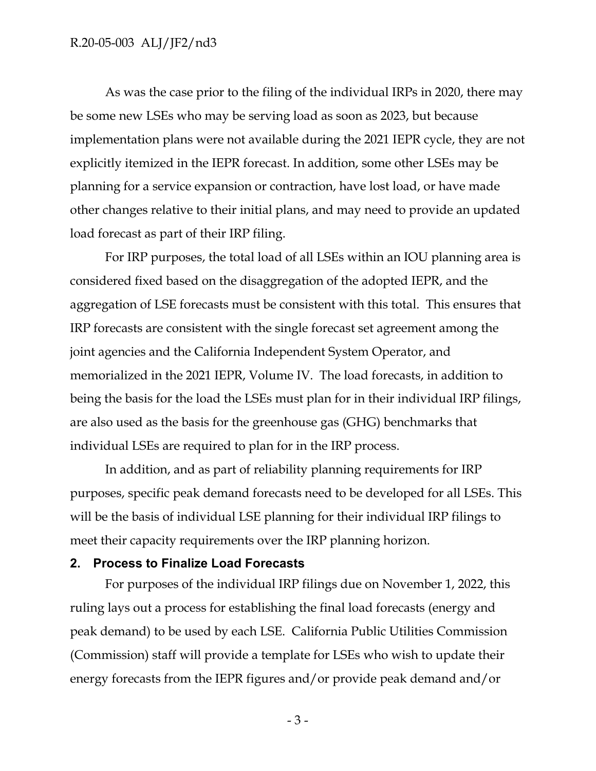#### R.20-05-003 ALJ/JF2/nd3

As was the case prior to the filing of the individual IRPs in 2020, there may be some new LSEs who may be serving load as soon as 2023, but because implementation plans were not available during the 2021 IEPR cycle, they are not explicitly itemized in the IEPR forecast. In addition, some other LSEs may be planning for a service expansion or contraction, have lost load, or have made other changes relative to their initial plans, and may need to provide an updated load forecast as part of their IRP filing.

For IRP purposes, the total load of all LSEs within an IOU planning area is considered fixed based on the disaggregation of the adopted IEPR, and the aggregation of LSE forecasts must be consistent with this total. This ensures that IRP forecasts are consistent with the single forecast set agreement among the joint agencies and the California Independent System Operator, and memorialized in the 2021 IEPR, Volume IV. The load forecasts, in addition to being the basis for the load the LSEs must plan for in their individual IRP filings, are also used as the basis for the greenhouse gas (GHG) benchmarks that individual LSEs are required to plan for in the IRP process.

In addition, and as part of reliability planning requirements for IRP purposes, specific peak demand forecasts need to be developed for all LSEs. This will be the basis of individual LSE planning for their individual IRP filings to meet their capacity requirements over the IRP planning horizon.

### **2. Process to Finalize Load Forecasts**

For purposes of the individual IRP filings due on November 1, 2022, this ruling lays out a process for establishing the final load forecasts (energy and peak demand) to be used by each LSE. California Public Utilities Commission (Commission) staff will provide a template for LSEs who wish to update their energy forecasts from the IEPR figures and/or provide peak demand and/or

- 3 -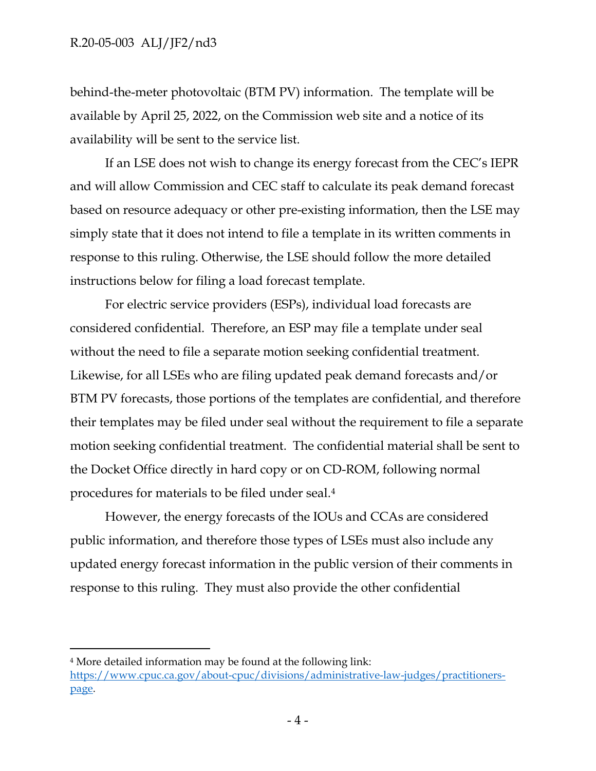behind-the-meter photovoltaic (BTM PV) information. The template will be available by April 25, 2022, on the Commission web site and a notice of its availability will be sent to the service list.

If an LSE does not wish to change its energy forecast from the CEC's IEPR and will allow Commission and CEC staff to calculate its peak demand forecast based on resource adequacy or other pre-existing information, then the LSE may simply state that it does not intend to file a template in its written comments in response to this ruling. Otherwise, the LSE should follow the more detailed instructions below for filing a load forecast template.

For electric service providers (ESPs), individual load forecasts are considered confidential. Therefore, an ESP may file a template under seal without the need to file a separate motion seeking confidential treatment. Likewise, for all LSEs who are filing updated peak demand forecasts and/or BTM PV forecasts, those portions of the templates are confidential, and therefore their templates may be filed under seal without the requirement to file a separate motion seeking confidential treatment. The confidential material shall be sent to the Docket Office directly in hard copy or on CD-ROM, following normal procedures for materials to be filed under seal.[4](#page-3-0)

However, the energy forecasts of the IOUs and CCAs are considered public information, and therefore those types of LSEs must also include any updated energy forecast information in the public version of their comments in response to this ruling. They must also provide the other confidential

<span id="page-3-0"></span><sup>4</sup> More detailed information may be found at the following link: [https://www.cpuc.ca.gov/about-cpuc/divisions/administrative-law-judges/practitioners](https://www.cpuc.ca.gov/about-cpuc/divisions/administrative-law-judges/practitioners-page)[page.](https://www.cpuc.ca.gov/about-cpuc/divisions/administrative-law-judges/practitioners-page)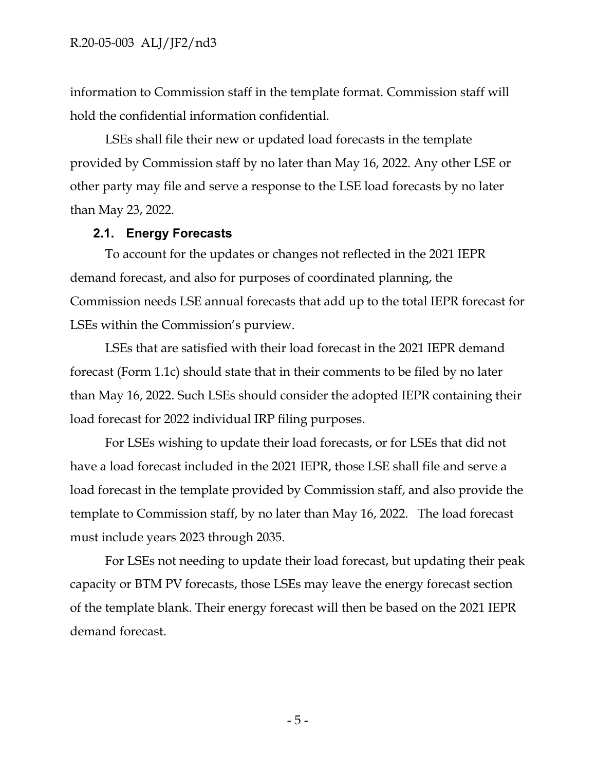information to Commission staff in the template format. Commission staff will hold the confidential information confidential.

LSEs shall file their new or updated load forecasts in the template provided by Commission staff by no later than May 16, 2022. Any other LSE or other party may file and serve a response to the LSE load forecasts by no later than May 23, 2022.

#### **2.1. Energy Forecasts**

To account for the updates or changes not reflected in the 2021 IEPR demand forecast, and also for purposes of coordinated planning, the Commission needs LSE annual forecasts that add up to the total IEPR forecast for LSEs within the Commission's purview.

LSEs that are satisfied with their load forecast in the 2021 IEPR demand forecast (Form 1.1c) should state that in their comments to be filed by no later than May 16, 2022. Such LSEs should consider the adopted IEPR containing their load forecast for 2022 individual IRP filing purposes.

For LSEs wishing to update their load forecasts, or for LSEs that did not have a load forecast included in the 2021 IEPR, those LSE shall file and serve a load forecast in the template provided by Commission staff, and also provide the template to Commission staff, by no later than May 16, 2022. The load forecast must include years 2023 through 2035.

For LSEs not needing to update their load forecast, but updating their peak capacity or BTM PV forecasts, those LSEs may leave the energy forecast section of the template blank. Their energy forecast will then be based on the 2021 IEPR demand forecast.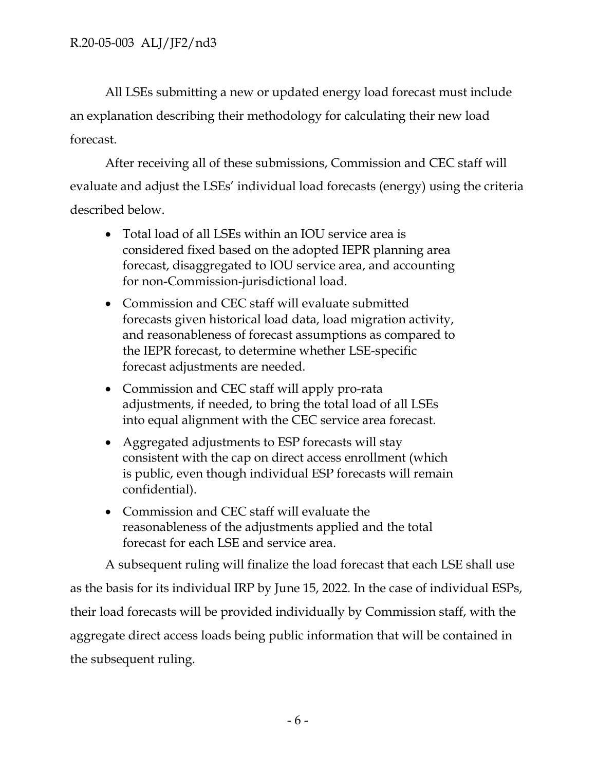All LSEs submitting a new or updated energy load forecast must include an explanation describing their methodology for calculating their new load forecast.

After receiving all of these submissions, Commission and CEC staff will evaluate and adjust the LSEs' individual load forecasts (energy) using the criteria described below.

- Total load of all LSEs within an IOU service area is considered fixed based on the adopted IEPR planning area forecast, disaggregated to IOU service area, and accounting for non-Commission-jurisdictional load.
- Commission and CEC staff will evaluate submitted forecasts given historical load data, load migration activity, and reasonableness of forecast assumptions as compared to the IEPR forecast, to determine whether LSE-specific forecast adjustments are needed.
- Commission and CEC staff will apply pro-rata adjustments, if needed, to bring the total load of all LSEs into equal alignment with the CEC service area forecast.
- Aggregated adjustments to ESP forecasts will stay consistent with the cap on direct access enrollment (which is public, even though individual ESP forecasts will remain confidential).
- Commission and CEC staff will evaluate the reasonableness of the adjustments applied and the total forecast for each LSE and service area.

A subsequent ruling will finalize the load forecast that each LSE shall use as the basis for its individual IRP by June 15, 2022. In the case of individual ESPs, their load forecasts will be provided individually by Commission staff, with the aggregate direct access loads being public information that will be contained in the subsequent ruling.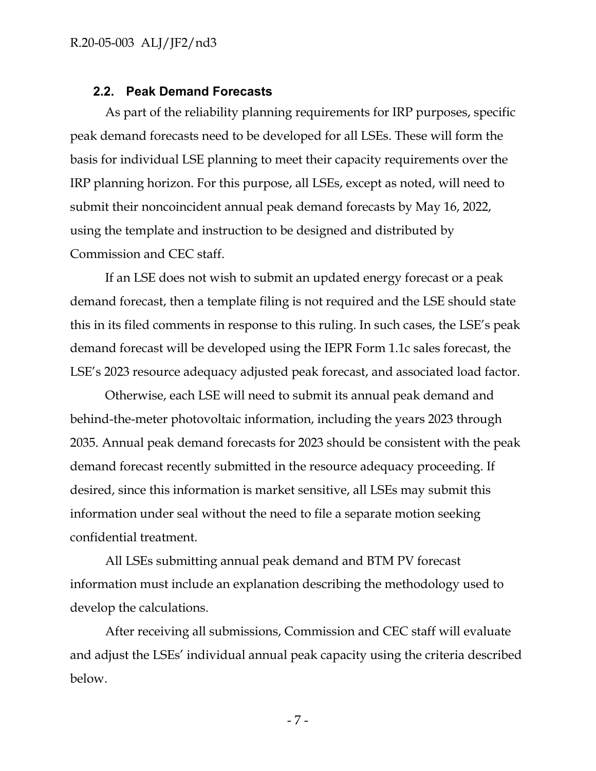#### **2.2. Peak Demand Forecasts**

As part of the reliability planning requirements for IRP purposes, specific peak demand forecasts need to be developed for all LSEs. These will form the basis for individual LSE planning to meet their capacity requirements over the IRP planning horizon. For this purpose, all LSEs, except as noted, will need to submit their noncoincident annual peak demand forecasts by May 16, 2022, using the template and instruction to be designed and distributed by Commission and CEC staff.

If an LSE does not wish to submit an updated energy forecast or a peak demand forecast, then a template filing is not required and the LSE should state this in its filed comments in response to this ruling. In such cases, the LSE's peak demand forecast will be developed using the IEPR Form 1.1c sales forecast, the LSE's 2023 resource adequacy adjusted peak forecast, and associated load factor.

Otherwise, each LSE will need to submit its annual peak demand and behind-the-meter photovoltaic information, including the years 2023 through 2035. Annual peak demand forecasts for 2023 should be consistent with the peak demand forecast recently submitted in the resource adequacy proceeding. If desired, since this information is market sensitive, all LSEs may submit this information under seal without the need to file a separate motion seeking confidential treatment.

All LSEs submitting annual peak demand and BTM PV forecast information must include an explanation describing the methodology used to develop the calculations.

After receiving all submissions, Commission and CEC staff will evaluate and adjust the LSEs' individual annual peak capacity using the criteria described below.

- 7 -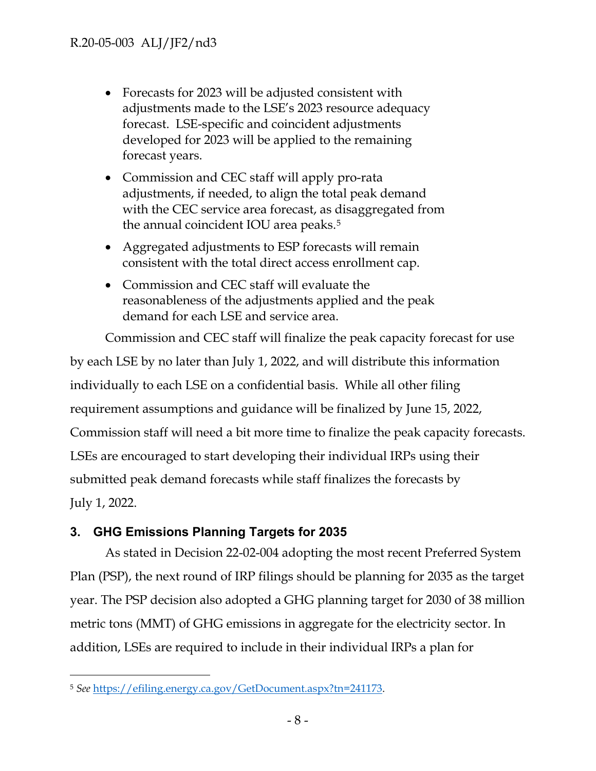- Forecasts for 2023 will be adjusted consistent with adjustments made to the LSE's 2023 resource adequacy forecast. LSE-specific and coincident adjustments developed for 2023 will be applied to the remaining forecast years.
- Commission and CEC staff will apply pro-rata adjustments, if needed, to align the total peak demand with the CEC service area forecast, as disaggregated from the annual coincident IOU area peaks.[5](#page-7-0)
- Aggregated adjustments to ESP forecasts will remain consistent with the total direct access enrollment cap.
- Commission and CEC staff will evaluate the reasonableness of the adjustments applied and the peak demand for each LSE and service area.

Commission and CEC staff will finalize the peak capacity forecast for use by each LSE by no later than July 1, 2022, and will distribute this information individually to each LSE on a confidential basis. While all other filing requirement assumptions and guidance will be finalized by June 15, 2022, Commission staff will need a bit more time to finalize the peak capacity forecasts. LSEs are encouraged to start developing their individual IRPs using their submitted peak demand forecasts while staff finalizes the forecasts by July 1, 2022.

# **3. GHG Emissions Planning Targets for 2035**

As stated in Decision 22-02-004 adopting the most recent Preferred System Plan (PSP), the next round of IRP filings should be planning for 2035 as the target year. The PSP decision also adopted a GHG planning target for 2030 of 38 million metric tons (MMT) of GHG emissions in aggregate for the electricity sector. In addition, LSEs are required to include in their individual IRPs a plan for

<span id="page-7-0"></span><sup>5</sup> *See* [https://efiling.energy.ca.gov/GetDocument.aspx?tn=241173.](https://efiling.energy.ca.gov/GetDocument.aspx?tn=241173)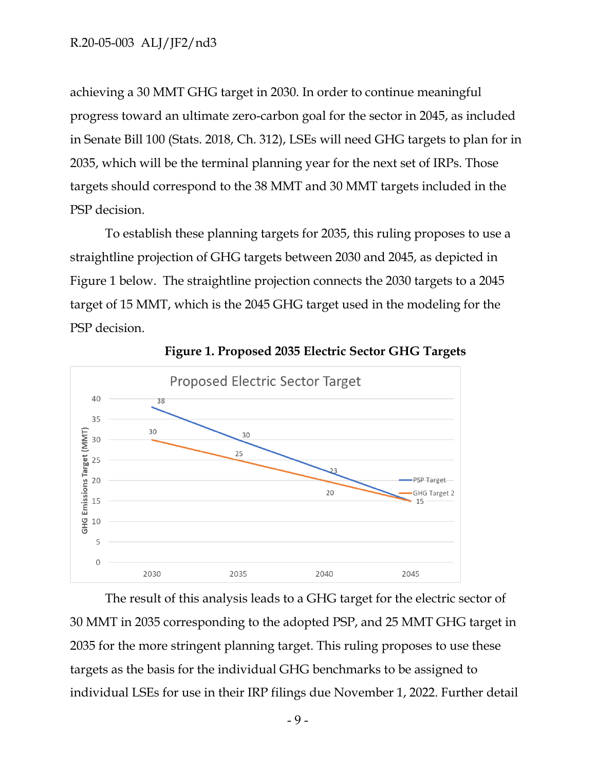achieving a 30 MMT GHG target in 2030. In order to continue meaningful progress toward an ultimate zero-carbon goal for the sector in 2045, as included in Senate Bill 100 (Stats. 2018, Ch. 312), LSEs will need GHG targets to plan for in 2035, which will be the terminal planning year for the next set of IRPs. Those targets should correspond to the 38 MMT and 30 MMT targets included in the PSP decision.

To establish these planning targets for 2035, this ruling proposes to use a straightline projection of GHG targets between 2030 and 2045, as depicted in Figure 1 below. The straightline projection connects the 2030 targets to a 2045 target of 15 MMT, which is the 2045 GHG target used in the modeling for the PSP decision.



**Figure 1. Proposed 2035 Electric Sector GHG Targets**

The result of this analysis leads to a GHG target for the electric sector of 30 MMT in 2035 corresponding to the adopted PSP, and 25 MMT GHG target in 2035 for the more stringent planning target. This ruling proposes to use these targets as the basis for the individual GHG benchmarks to be assigned to individual LSEs for use in their IRP filings due November 1, 2022. Further detail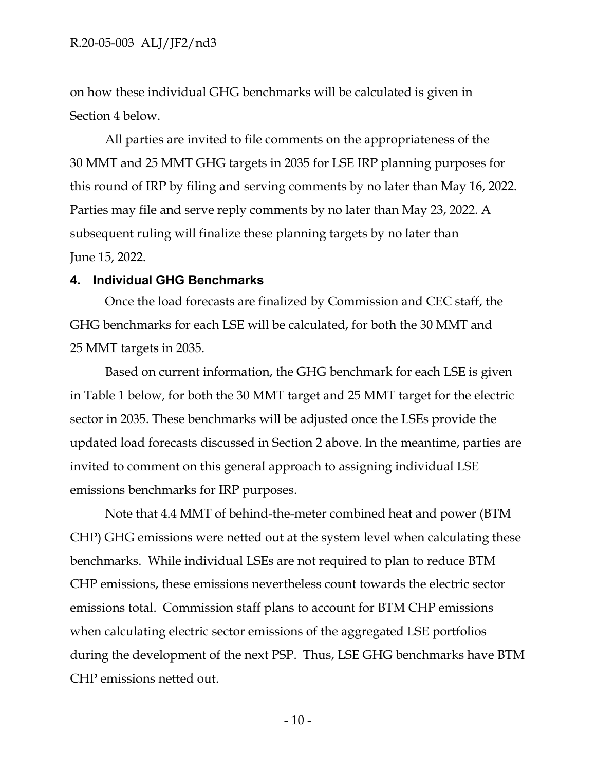on how these individual GHG benchmarks will be calculated is given in Section 4 below.

All parties are invited to file comments on the appropriateness of the 30 MMT and 25 MMT GHG targets in 2035 for LSE IRP planning purposes for this round of IRP by filing and serving comments by no later than May 16, 2022. Parties may file and serve reply comments by no later than May 23, 2022. A subsequent ruling will finalize these planning targets by no later than June 15, 2022.

## **4. Individual GHG Benchmarks**

Once the load forecasts are finalized by Commission and CEC staff, the GHG benchmarks for each LSE will be calculated, for both the 30 MMT and 25 MMT targets in 2035.

Based on current information, the GHG benchmark for each LSE is given in Table 1 below, for both the 30 MMT target and 25 MMT target for the electric sector in 2035. These benchmarks will be adjusted once the LSEs provide the updated load forecasts discussed in Section 2 above. In the meantime, parties are invited to comment on this general approach to assigning individual LSE emissions benchmarks for IRP purposes.

Note that 4.4 MMT of behind-the-meter combined heat and power (BTM CHP) GHG emissions were netted out at the system level when calculating these benchmarks. While individual LSEs are not required to plan to reduce BTM CHP emissions, these emissions nevertheless count towards the electric sector emissions total. Commission staff plans to account for BTM CHP emissions when calculating electric sector emissions of the aggregated LSE portfolios during the development of the next PSP. Thus, LSE GHG benchmarks have BTM CHP emissions netted out.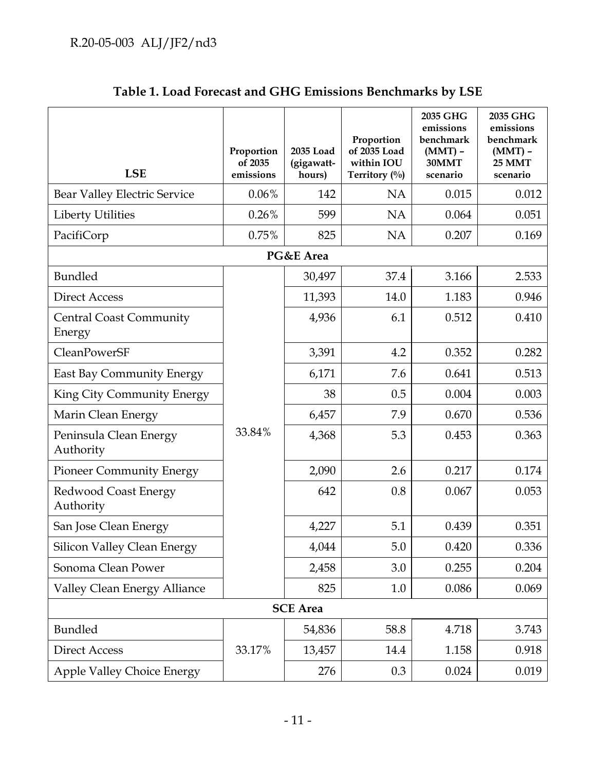| <b>LSE</b>                               | Proportion<br>of 2035<br>emissions | 2035 Load<br>(gigawatt-<br>hours) | Proportion<br>of 2035 Load<br>within IOU<br>Territory (%) | 2035 GHG<br>emissions<br>benchmark<br>$(MMT)$ -<br>30MMT<br>scenario | 2035 GHG<br>emissions<br>benchmark<br>$(MMT)$ -<br><b>25 MMT</b><br>scenario |  |  |  |  |
|------------------------------------------|------------------------------------|-----------------------------------|-----------------------------------------------------------|----------------------------------------------------------------------|------------------------------------------------------------------------------|--|--|--|--|
| <b>Bear Valley Electric Service</b>      | 0.06%                              | 142                               | <b>NA</b>                                                 | 0.015                                                                | 0.012                                                                        |  |  |  |  |
| <b>Liberty Utilities</b>                 | 0.26%                              | 599                               | <b>NA</b>                                                 | 0.064                                                                | 0.051                                                                        |  |  |  |  |
| PacifiCorp                               | 0.75%                              | 825                               | <b>NA</b>                                                 | 0.207                                                                | 0.169                                                                        |  |  |  |  |
| PG&E Area                                |                                    |                                   |                                                           |                                                                      |                                                                              |  |  |  |  |
| <b>Bundled</b>                           |                                    | 30,497                            | 37.4                                                      | 3.166                                                                | 2.533                                                                        |  |  |  |  |
| <b>Direct Access</b>                     |                                    | 11,393                            | 14.0                                                      | 1.183                                                                | 0.946                                                                        |  |  |  |  |
| <b>Central Coast Community</b><br>Energy |                                    | 4,936                             | 6.1                                                       | 0.512                                                                | 0.410                                                                        |  |  |  |  |
| CleanPowerSF                             |                                    | 3,391                             | 4.2                                                       | 0.352                                                                | 0.282                                                                        |  |  |  |  |
| <b>East Bay Community Energy</b>         |                                    | 6,171                             | 7.6                                                       | 0.641                                                                | 0.513                                                                        |  |  |  |  |
| King City Community Energy               |                                    | 38                                | 0.5                                                       | 0.004                                                                | 0.003                                                                        |  |  |  |  |
| Marin Clean Energy                       |                                    | 6,457                             | 7.9                                                       | 0.670                                                                | 0.536                                                                        |  |  |  |  |
| Peninsula Clean Energy<br>Authority      | 33.84%                             | 4,368                             | 5.3                                                       | 0.453                                                                | 0.363                                                                        |  |  |  |  |
| <b>Pioneer Community Energy</b>          |                                    | 2,090                             | 2.6                                                       | 0.217                                                                | 0.174                                                                        |  |  |  |  |
| Redwood Coast Energy<br>Authority        |                                    | 642                               | 0.8                                                       | 0.067                                                                | 0.053                                                                        |  |  |  |  |
| San Jose Clean Energy                    |                                    | 4,227                             | 5.1                                                       | 0.439                                                                | 0.351                                                                        |  |  |  |  |
| Silicon Valley Clean Energy              |                                    | 4,044                             | 5.0                                                       | 0.420                                                                | 0.336                                                                        |  |  |  |  |
| Sonoma Clean Power                       |                                    | 2,458                             | 3.0                                                       | 0.255                                                                | 0.204                                                                        |  |  |  |  |
| Valley Clean Energy Alliance             |                                    | 825                               | 1.0                                                       | 0.086                                                                | 0.069                                                                        |  |  |  |  |
| <b>SCE</b> Area                          |                                    |                                   |                                                           |                                                                      |                                                                              |  |  |  |  |
| Bundled                                  |                                    | 54,836                            | 58.8                                                      | 4.718                                                                | 3.743                                                                        |  |  |  |  |
| <b>Direct Access</b>                     | 33.17%                             | 13,457                            | 14.4                                                      | 1.158                                                                | 0.918                                                                        |  |  |  |  |
| Apple Valley Choice Energy               |                                    | 276                               | 0.3                                                       | 0.024                                                                | 0.019                                                                        |  |  |  |  |

| Table 1. Load Forecast and GHG Emissions Benchmarks by LSE |
|------------------------------------------------------------|
|------------------------------------------------------------|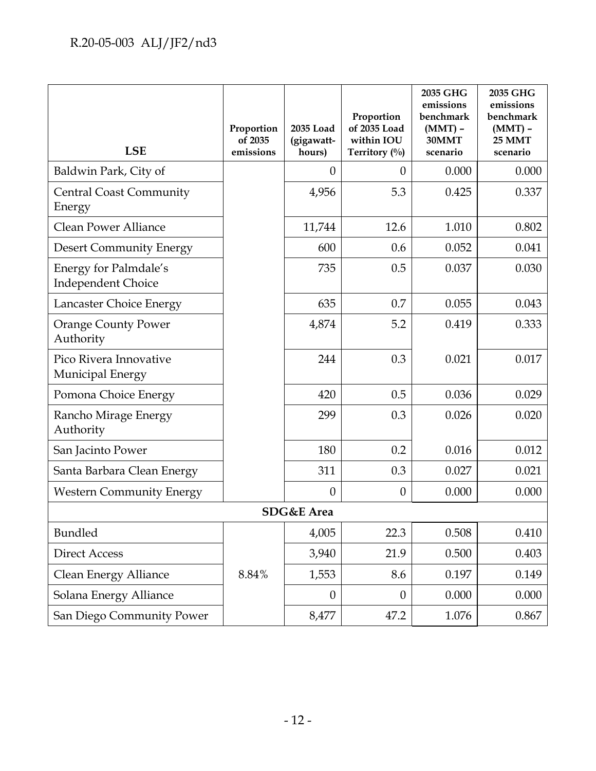| <b>LSE</b>                                         | Proportion<br>of 2035<br>emissions | 2035 Load<br>(gigawatt-<br>hours) | Proportion<br>of 2035 Load<br>within IOU<br>Territory (%) | 2035 GHG<br>emissions<br>benchmark<br>$(MMT)$ -<br>30MMT<br>scenario | 2035 GHG<br>emissions<br>benchmark<br>$(MMT)$ -<br><b>25 MMT</b><br>scenario |  |  |  |  |
|----------------------------------------------------|------------------------------------|-----------------------------------|-----------------------------------------------------------|----------------------------------------------------------------------|------------------------------------------------------------------------------|--|--|--|--|
| Baldwin Park, City of                              |                                    | $\theta$                          | $\theta$                                                  | 0.000                                                                | 0.000                                                                        |  |  |  |  |
| <b>Central Coast Community</b><br>Energy           |                                    | 4,956                             | 5.3                                                       | 0.425                                                                | 0.337                                                                        |  |  |  |  |
| <b>Clean Power Alliance</b>                        |                                    | 11,744                            | 12.6                                                      | 1.010                                                                | 0.802                                                                        |  |  |  |  |
| <b>Desert Community Energy</b>                     |                                    | 600                               | 0.6                                                       | 0.052                                                                | 0.041                                                                        |  |  |  |  |
| Energy for Palmdale's<br><b>Independent Choice</b> |                                    | 735                               | 0.5                                                       | 0.037                                                                | 0.030                                                                        |  |  |  |  |
| Lancaster Choice Energy                            |                                    | 635                               | 0.7                                                       | 0.055                                                                | 0.043                                                                        |  |  |  |  |
| <b>Orange County Power</b><br>Authority            |                                    | 4,874                             | 5.2                                                       | 0.419                                                                | 0.333                                                                        |  |  |  |  |
| Pico Rivera Innovative<br>Municipal Energy         |                                    | 244                               | 0.3                                                       | 0.021                                                                | 0.017                                                                        |  |  |  |  |
| Pomona Choice Energy                               |                                    | 420                               | 0.5                                                       | 0.036                                                                | 0.029                                                                        |  |  |  |  |
| Rancho Mirage Energy<br>Authority                  |                                    | 299                               | 0.3                                                       | 0.026                                                                | 0.020                                                                        |  |  |  |  |
| San Jacinto Power                                  |                                    | 180                               | 0.2                                                       | 0.016                                                                | 0.012                                                                        |  |  |  |  |
| Santa Barbara Clean Energy                         |                                    | 311                               | 0.3                                                       | 0.027                                                                | 0.021                                                                        |  |  |  |  |
| <b>Western Community Energy</b>                    |                                    | $\theta$                          | $\theta$                                                  | 0.000                                                                | 0.000                                                                        |  |  |  |  |
| SDG&E Area                                         |                                    |                                   |                                                           |                                                                      |                                                                              |  |  |  |  |
| Bundled                                            |                                    | 4,005                             | 22.3                                                      | 0.508                                                                | 0.410                                                                        |  |  |  |  |
| <b>Direct Access</b>                               |                                    | 3,940                             | 21.9                                                      | 0.500                                                                | 0.403                                                                        |  |  |  |  |
| Clean Energy Alliance                              | 8.84%                              | 1,553                             | 8.6                                                       | 0.197                                                                | 0.149                                                                        |  |  |  |  |
| Solana Energy Alliance                             |                                    | $\overline{0}$                    | $\boldsymbol{0}$                                          | 0.000                                                                | 0.000                                                                        |  |  |  |  |
| San Diego Community Power                          |                                    | 8,477                             | 47.2                                                      | 1.076                                                                | 0.867                                                                        |  |  |  |  |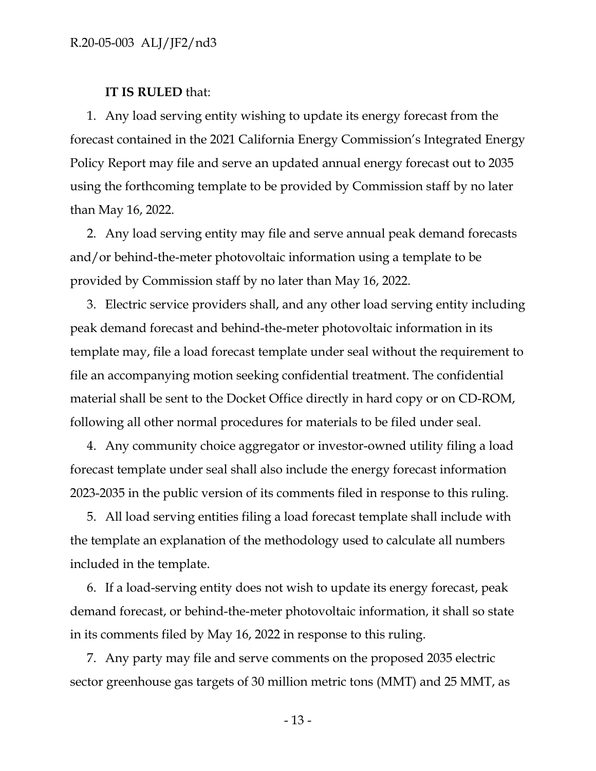#### **IT IS RULED** that:

1. Any load serving entity wishing to update its energy forecast from the forecast contained in the 2021 California Energy Commission's Integrated Energy Policy Report may file and serve an updated annual energy forecast out to 2035 using the forthcoming template to be provided by Commission staff by no later than May 16, 2022.

2. Any load serving entity may file and serve annual peak demand forecasts and/or behind-the-meter photovoltaic information using a template to be provided by Commission staff by no later than May 16, 2022.

3. Electric service providers shall, and any other load serving entity including peak demand forecast and behind-the-meter photovoltaic information in its template may, file a load forecast template under seal without the requirement to file an accompanying motion seeking confidential treatment. The confidential material shall be sent to the Docket Office directly in hard copy or on CD-ROM, following all other normal procedures for materials to be filed under seal.

4. Any community choice aggregator or investor-owned utility filing a load forecast template under seal shall also include the energy forecast information 2023-2035 in the public version of its comments filed in response to this ruling.

5. All load serving entities filing a load forecast template shall include with the template an explanation of the methodology used to calculate all numbers included in the template.

6. If a load-serving entity does not wish to update its energy forecast, peak demand forecast, or behind-the-meter photovoltaic information, it shall so state in its comments filed by May 16, 2022 in response to this ruling.

7. Any party may file and serve comments on the proposed 2035 electric sector greenhouse gas targets of 30 million metric tons (MMT) and 25 MMT, as

- 13 -